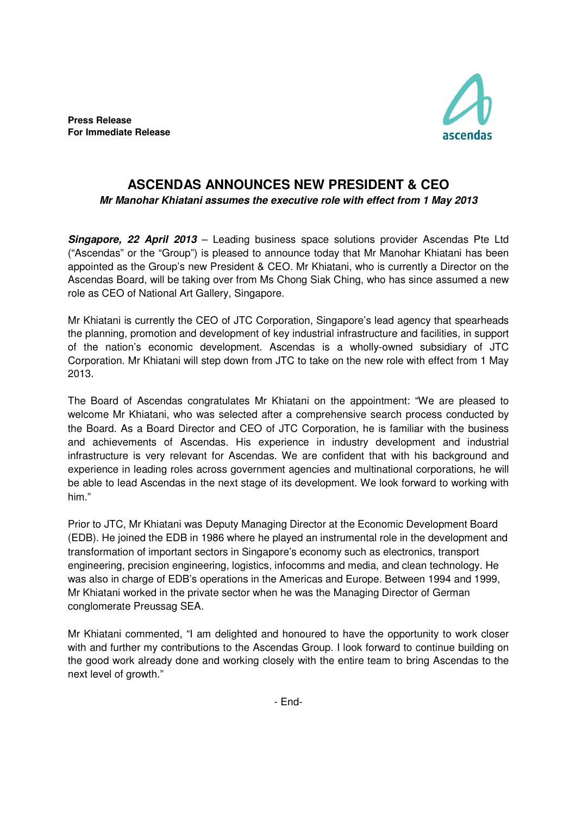**Press Release For Immediate Release** 



## **ASCENDAS ANNOUNCES NEW PRESIDENT & CEO**

**Mr Manohar Khiatani assumes the executive role with effect from 1 May 2013**

**Singapore, 22 April 2013** – Leading business space solutions provider Ascendas Pte Ltd ("Ascendas" or the "Group") is pleased to announce today that Mr Manohar Khiatani has been appointed as the Group's new President & CEO. Mr Khiatani, who is currently a Director on the Ascendas Board, will be taking over from Ms Chong Siak Ching, who has since assumed a new role as CEO of National Art Gallery, Singapore.

Mr Khiatani is currently the CEO of JTC Corporation, Singapore's lead agency that spearheads the planning, promotion and development of key industrial infrastructure and facilities, in support of the nation's economic development. Ascendas is a wholly-owned subsidiary of JTC Corporation. Mr Khiatani will step down from JTC to take on the new role with effect from 1 May 2013.

The Board of Ascendas congratulates Mr Khiatani on the appointment: "We are pleased to welcome Mr Khiatani, who was selected after a comprehensive search process conducted by the Board. As a Board Director and CEO of JTC Corporation, he is familiar with the business and achievements of Ascendas. His experience in industry development and industrial infrastructure is very relevant for Ascendas. We are confident that with his background and experience in leading roles across government agencies and multinational corporations, he will be able to lead Ascendas in the next stage of its development. We look forward to working with him."

Prior to JTC, Mr Khiatani was Deputy Managing Director at the Economic Development Board (EDB). He joined the EDB in 1986 where he played an instrumental role in the development and transformation of important sectors in Singapore's economy such as electronics, transport engineering, precision engineering, logistics, infocomms and media, and clean technology. He was also in charge of EDB's operations in the Americas and Europe. Between 1994 and 1999, Mr Khiatani worked in the private sector when he was the Managing Director of German conglomerate Preussag SEA.

Mr Khiatani commented, "I am delighted and honoured to have the opportunity to work closer with and further my contributions to the Ascendas Group. I look forward to continue building on the good work already done and working closely with the entire team to bring Ascendas to the next level of growth."